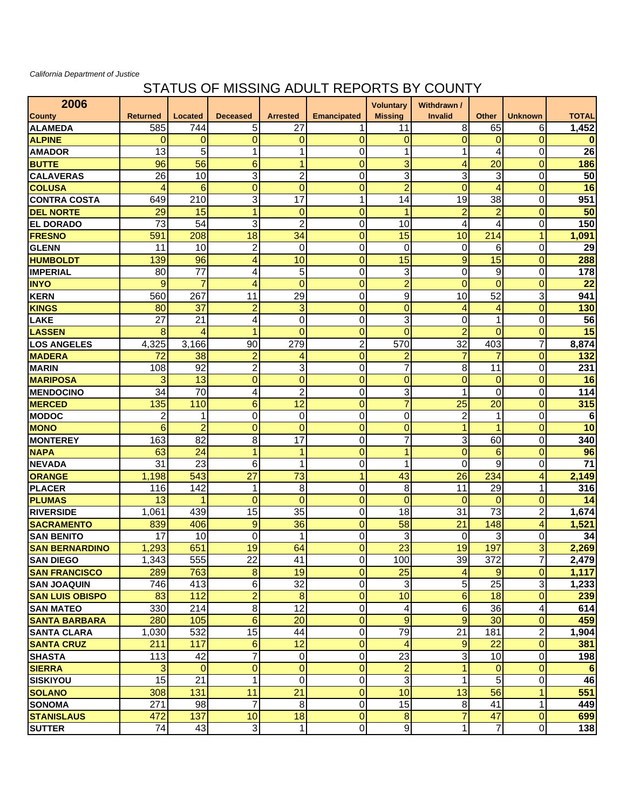## *California Department of Justice*

## STATUS OF MISSING ADULT REPORTS BY COUNTY

| 2006                   |                 |                 |                 |                         |                    | <b>Voluntary</b> | Withdrawn /     |                          |                          |                 |
|------------------------|-----------------|-----------------|-----------------|-------------------------|--------------------|------------------|-----------------|--------------------------|--------------------------|-----------------|
| <b>County</b>          | <b>Returned</b> | <b>Located</b>  | <b>Deceased</b> | <b>Arrested</b>         | <b>Emancipated</b> | <b>Missing</b>   | <b>Invalid</b>  | <b>Other</b>             | <b>Unknown</b>           | <b>TOTAL</b>    |
| <b>ALAMEDA</b>         | 585             | 744             | 5               | 27                      |                    | 11               | 8               | 65                       | 6                        | 1,452           |
| <b>ALPINE</b>          | $\Omega$        | 0               | 0               | $\mathbf 0$             | $\overline{0}$     | 0                | $\Omega$        | $\overline{0}$           | $\overline{0}$           | $\bf{0}$        |
| <b>AMADOR</b>          | 13              | $\overline{5}$  | 1               | 1                       | $\Omega$           | $\mathbf{1}$     | 1               | $\overline{4}$           | 0                        | 26              |
| <b>BUTTE</b>           | 96              | 56              | 6               | 1                       | $\overline{0}$     | 3                | 4               | 20                       | $\overline{0}$           | 186             |
| <b>CALAVERAS</b>       | 26              | 10              | 3               | $\overline{c}$          | 0                  | 3                | 3               | 3                        | 0                        | 50              |
| <b>COLUSA</b>          | 4               | 6               | 0               | $\mathbf 0$             | 0                  | $\overline{2}$   | $\mathbf 0$     | 4                        | $\mathbf 0$              | 16              |
| <b>CONTRA COSTA</b>    | 649             | 210             | 3               | $\overline{17}$         | 1                  | 14               | 19              | 38                       | $\mathbf 0$              | 951             |
| <b>DEL NORTE</b>       | 29              | 15              | 1               | $\mathbf 0$             | $\overline{0}$     | $\overline{1}$   | $\overline{2}$  | $\overline{2}$           | $\overline{0}$           | 50              |
| <b>IEL DORADO</b>      | $\overline{73}$ | 54              | 3               | $\overline{c}$          | 0                  | 10               | $\overline{4}$  | 4                        | $\mathbf 0$              | 150             |
| <b>FRESNO</b>          | 591             | 208             | 18              | 34                      | $\overline{0}$     | 15               | 10              | 214                      | $\mathbf{1}$             | 1,091           |
| <b>GLENN</b>           | 11              | 10              | $\overline{2}$  | $\mathbf 0$             | 0                  | $\mathbf 0$      | 0               | 6                        | $\mathbf 0$              | 29              |
| <b>HUMBOLDT</b>        | 139             | 96              | 4               | 10                      | $\overline{0}$     | 15               | 9               | 15                       | $\mathbf 0$              | 288             |
| <b>IMPERIAL</b>        | 80              | $\overline{77}$ | 4               | 5                       | 0                  | 3                | $\Omega$        | 9                        | $\mathbf 0$              | 178             |
| <b>INYO</b>            | 9               | 7               | 4               | $\overline{0}$          | $\overline{0}$     | $\overline{a}$   | $\Omega$        | $\Omega$                 | $\mathbf 0$              | 22              |
| <b>KERN</b>            | 560             | 267             | 11              | 29                      | 0                  | 9                | 10              | 52                       | 3                        | 941             |
| <b>KINGS</b>           | 80              | 37              | $\overline{a}$  | 3                       | $\overline{0}$     | $\overline{0}$   | 4               | $\overline{\mathcal{A}}$ | $\overline{0}$           | 130             |
| <b>LAKE</b>            | 27              | 21              | 4               | $\mathbf 0$             | 0                  | 3                | 0               | 1                        | $\mathbf 0$              | 56              |
| LASSEN                 | 8               | 4               | 1               | $\overline{0}$          | $\overline{0}$     | $\overline{0}$   | $\overline{2}$  | $\Omega$                 | $\mathbf 0$              | 15              |
| <b>LOS ANGELES</b>     | 4,325           | 3,166           | 90              | 279                     | $\overline{c}$     | 570              | 32              | 403                      | 7                        | 8,874           |
| <b>MADERA</b>          | 72              | 38              | $\overline{2}$  | 4                       | $\overline{0}$     | $\overline{2}$   | 7               | $\overline{7}$           | $\overline{0}$           | 132             |
| <b>MARIN</b>           | 108             | 92              | $\overline{c}$  | 3                       | 0                  | $\overline{7}$   | 8               | 11                       | $\mathbf 0$              | 231             |
| <b>MARIPOSA</b>        | 3               | 13              | $\overline{0}$  | $\overline{0}$          | $\overline{0}$     | $\overline{0}$   | $\overline{0}$  | $\overline{0}$           | $\overline{0}$           | 16              |
| <b>MENDOCINO</b>       | 34              | 70              | 4               | $\overline{c}$          | 0                  | 3                | 1               | $\Omega$                 | 0                        | 114             |
| <b>MERCED</b>          | 135             | 110             | 6               | 12                      | $\overline{0}$     | $\overline{7}$   | 25              | 20                       | $\overline{0}$           | 315             |
| <b>MODOC</b>           | 2               | 1               | 0               | 0                       | 0                  | $\mathbf 0$      | 2               | $\mathbf 1$              | 0                        | 6               |
| <b>MONO</b>            | 6               | $\overline{2}$  | $\overline{0}$  | $\mathbf{0}$            | $\overline{0}$     | $\mathbf 0$      | 1               | 4                        | $\mathbf 0$              | 10              |
| <b>MONTEREY</b>        | 163             | 82              | 8               | 17                      | 0                  | $\overline{7}$   | 3               | 60                       | $\mathbf 0$              | 340             |
| <b>NAPA</b>            | 63              | 24              | 1               | 1                       | $\overline{0}$     | $\mathbf{1}$     | $\overline{0}$  | 6                        | $\overline{0}$           | 96              |
| <b>NEVADA</b>          | 31              | 23              | 6               | 1                       | 0                  | 1                | $\mathbf 0$     | 9                        | 0                        | $\overline{71}$ |
| ORANGE                 | 1,198           | 543             | 27              | 73                      | 1                  | 43               | 26              | 234                      | 4                        | 2,149           |
| <b>PLACER</b>          | 116             | 142             | 1               | 8                       | 0                  | 8                | 11              | 29                       | 1                        | 316             |
| <b>PLUMAS</b>          | 13              | 1               | $\Omega$        | $\mathbf{0}$            | $\overline{0}$     | 0                | $\Omega$        | $\mathbf 0$              | $\mathbf 0$              | 14              |
| <b>RIVERSIDE</b>       | 1,061           | 439             | 15              | 35                      | 0                  | 18               | 31              | 73                       | $\overline{2}$           | ,674<br>1       |
| <b>SACRAMENTO</b>      | 839             | 406             | 9               | 36                      | $\overline{0}$     | 58               | $\overline{21}$ | 148                      | $\overline{\mathcal{A}}$ | 1,521           |
| <b>SAN BENITO</b>      | 17              | 10              | $\Omega$        | 1                       | 0                  | 3                | 0               | 3                        | 0                        | 34              |
| <b>SAN BERNARDINO</b>  | 1,293           | 651             | 19              | 64                      | $\overline{0}$     | $\overline{23}$  | 19              | 197                      | 3                        | 2,269           |
| <b>SAN DIEGO</b>       | 1,343           | 555             | 22              | 41                      | 0                  | 100              | 39              | 372                      | 7                        | 2,479           |
| <b>SAN FRANCISCO</b>   | 289             | 763             | 8               | 19                      | 0                  | 25               | 4               | 9                        | 0                        | 1,117           |
| <b>SAN JOAQUIN</b>     | 746             | 413             | 6               | $\overline{32}$         | 0                  | 3                | $\sqrt{5}$      | 25                       | 3                        | 1,233           |
| <b>SAN LUIS OBISPO</b> | 83              | 112             | $\overline{c}$  | $\bf 8$                 | $\mathbf 0$        | 10               | $6 \overline{}$ | 18                       | $\overline{0}$           | 239             |
| <b>SAN MATEO</b>       | 330             | 214             | 8               | $\overline{12}$         | 0                  | 4                | 6               | 36                       | 4                        | 614             |
| <b>SANTA BARBARA</b>   | 280             | 105             | 6               | 20                      | 0                  | 9                | 9               | 30                       | 0                        | 459             |
| <b>SANTA CLARA</b>     | 1,030           | 532             | 15              | 44                      | 0                  | 79               | $\overline{21}$ | 181                      | $\overline{\mathbf{c}}$  | 1,904           |
| <b>SANTA CRUZ</b>      | 211             | 117             | 6               | 12                      | $\mathbf 0$        | 4                | 9               | 22                       | $\overline{0}$           | 381             |
| <b>SHASTA</b>          | 113             | 42              | 7               | $\overline{0}$          | 0                  | $\overline{23}$  | 3               | 10                       | 0                        | 198             |
| <b>SIERRA</b>          | 3               | $\mathbf 0$     | 0               | $\overline{0}$          | $\mathbf 0$        | $\overline{2}$   |                 | $\mathbf 0$              | $\overline{0}$           | 6               |
| <b>SISKIYOU</b>        | 15              | 21              | 1               | $\overline{\mathsf{o}}$ | 0                  | دی               | 1               | 5                        | 0                        | 46              |
| <b>SOLANO</b>          | 308             | 131             | 11              | 21                      | $\mathbf 0$        | 10               | 13              | 56                       | $\mathbf{1}$             | 551             |
| <b>SONOMA</b>          | 271             | 98              | $\overline{7}$  | 8                       | 0                  | 15               | 8               | 41                       | 1                        | 449             |
| <b>STANISLAUS</b>      | 472             | 137             | 10              | 18                      | 0                  | $\boldsymbol{8}$ | 7               | 47                       | $\mathbf 0$              | 699             |
| <b>SUTTER</b>          | 74              | 43              | دن              | $\mathbf{1}$            | 0                  | $\overline{9}$   | 1               | $\overline{7}$           | $\overline{\mathsf{o}}$  | 138             |